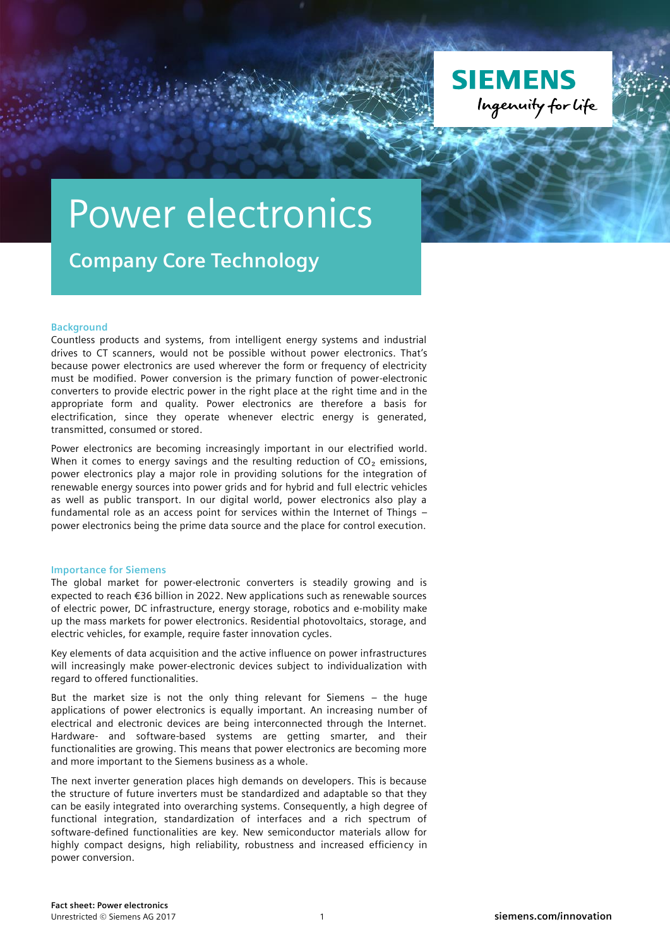

## Power electronics

**Company Core Technology**

## **Background**

Countless products and systems, from intelligent energy systems and industrial drives to CT scanners, would not be possible without power electronics. That's because power electronics are used wherever the form or frequency of electricity must be modified. Power conversion is the primary function of power-electronic converters to provide electric power in the right place at the right time and in the appropriate form and quality. Power electronics are therefore a basis for electrification, since they operate whenever electric energy is generated, transmitted, consumed or stored.

Power electronics are becoming increasingly important in our electrified world. When it comes to energy savings and the resulting reduction of  $CO<sub>2</sub>$  emissions, power electronics play a major role in providing solutions for the integration of renewable energy sources into power grids and for hybrid and full electric vehicles as well as public transport. In our digital world, power electronics also play a fundamental role as an access point for services within the Internet of Things – power electronics being the prime data source and the place for control execution.

## **Importance for Siemens**

The global market for power-electronic converters is steadily growing and is expected to reach €36 billion in 2022. New applications such as renewable sources of electric power, DC infrastructure, energy storage, robotics and e-mobility make up the mass markets for power electronics. Residential photovoltaics, storage, and electric vehicles, for example, require faster innovation cycles.

Key elements of data acquisition and the active influence on power infrastructures will increasingly make power-electronic devices subject to individualization with regard to offered functionalities.

But the market size is not the only thing relevant for Siemens – the huge applications of power electronics is equally important. An increasing number of electrical and electronic devices are being interconnected through the Internet. Hardware- and software-based systems are getting smarter, and their functionalities are growing. This means that power electronics are becoming more and more important to the Siemens business as a whole.

The next inverter generation places high demands on developers. This is because the structure of future inverters must be standardized and adaptable so that they can be easily integrated into overarching systems. Consequently, a high degree of functional integration, standardization of interfaces and a rich spectrum of software-defined functionalities are key. New semiconductor materials allow for highly compact designs, high reliability, robustness and increased efficiency in power conversion.